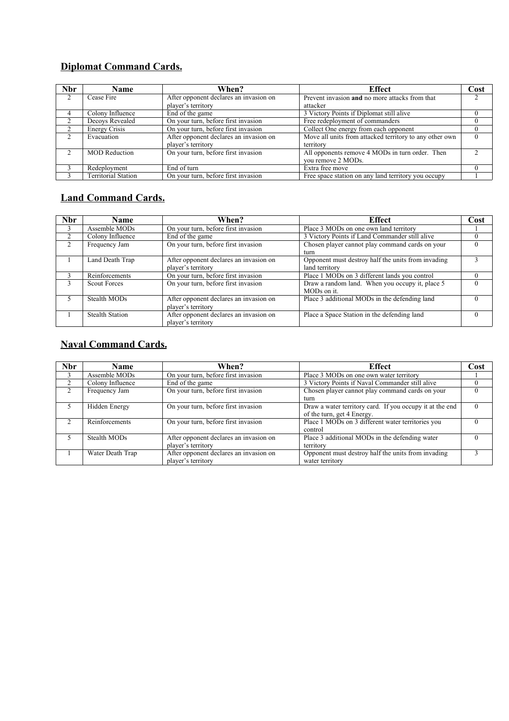## **Diplomat Command Cards.**

| <b>Nbr</b> | Name                 | When?                                  | <b>Effect</b>                                           | Cost          |
|------------|----------------------|----------------------------------------|---------------------------------------------------------|---------------|
|            | Cease Fire           | After opponent declares an invasion on | Prevent invasion and no more attacks from that          | $\mathcal{D}$ |
|            |                      | player's territory                     | attacker                                                |               |
| 4          | Colony Influence     | End of the game                        | 3 Victory Points if Diplomat still alive                |               |
|            | Decoys Revealed      | On your turn, before first invasion    | Free redeployment of commanders                         |               |
|            | <b>Energy Crisis</b> | On your turn, before first invasion    | Collect One energy from each opponent                   |               |
|            | Evacuation           | After opponent declares an invasion on | Move all units from attacked territory to any other own |               |
|            |                      | player's territory                     | territory                                               |               |
|            | <b>MOD</b> Reduction | On your turn, before first invasion    | All opponents remove 4 MODs in turn order. Then         |               |
|            |                      |                                        | vou remove 2 MODs.                                      |               |
|            | Redeployment         | End of turn                            | Extra free move                                         |               |
|            | Territorial Station  | On your turn, before first invasion    | Free space station on any land territory you occupy     |               |

## **Land Command Cards.**

| <b>Nbr</b> | <b>Name</b>            | When?                                  | Effect                                             | Cost     |
|------------|------------------------|----------------------------------------|----------------------------------------------------|----------|
| 3          | Assemble MODs          | On your turn, before first invasion    | Place 3 MODs on one own land territory             |          |
|            | Colony Influence       | End of the game                        | 3 Victory Points if Land Commander still alive     |          |
|            | Frequency Jam          | On your turn, before first invasion    | Chosen player cannot play command cards on your    | $\Omega$ |
|            |                        |                                        | turn                                               |          |
|            | Land Death Trap        | After opponent declares an invasion on | Opponent must destroy half the units from invading |          |
|            |                        | player's territory                     | land territory                                     |          |
|            | Reinforcements         | On your turn, before first invasion    | Place 1 MODs on 3 different lands you control      |          |
|            | <b>Scout Forces</b>    | On your turn, before first invasion    | Draw a random land. When you occupy it, place 5    | $\Omega$ |
|            |                        |                                        | MOD <sub>s</sub> on it.                            |          |
|            | Stealth MODs           | After opponent declares an invasion on | Place 3 additional MODs in the defending land      |          |
|            |                        | player's territory                     |                                                    |          |
|            | <b>Stealth Station</b> | After opponent declares an invasion on | Place a Space Station in the defending land        |          |
|            |                        | player's territory                     |                                                    |          |

### **Naval Command Cards.**

| <b>Nbr</b> | <b>Name</b>      | When?                                  | <b>Effect</b>                                            | Cost     |
|------------|------------------|----------------------------------------|----------------------------------------------------------|----------|
|            | Assemble MODs    | On your turn, before first invasion    | Place 3 MODs on one own water territory                  |          |
|            | Colony Influence | End of the game                        | 3 Victory Points if Naval Commander still alive          |          |
| 2          | Frequency Jam    | On your turn, before first invasion    | Chosen player cannot play command cards on your          |          |
|            |                  |                                        | turn                                                     |          |
|            | Hidden Energy    | On your turn, before first invasion    | Draw a water territory card. If you occupy it at the end | $\Omega$ |
|            |                  |                                        | of the turn, get 4 Energy.                               |          |
|            | Reinforcements   | On your turn, before first invasion    | Place 1 MODs on 3 different water territories you        |          |
|            |                  |                                        | control                                                  |          |
|            | Stealth MODs     | After opponent declares an invasion on | Place 3 additional MODs in the defending water           |          |
|            |                  | player's territory                     | territory                                                |          |
|            | Water Death Trap | After opponent declares an invasion on | Opponent must destroy half the units from invading       |          |
|            |                  | player's territory                     | water territory                                          |          |